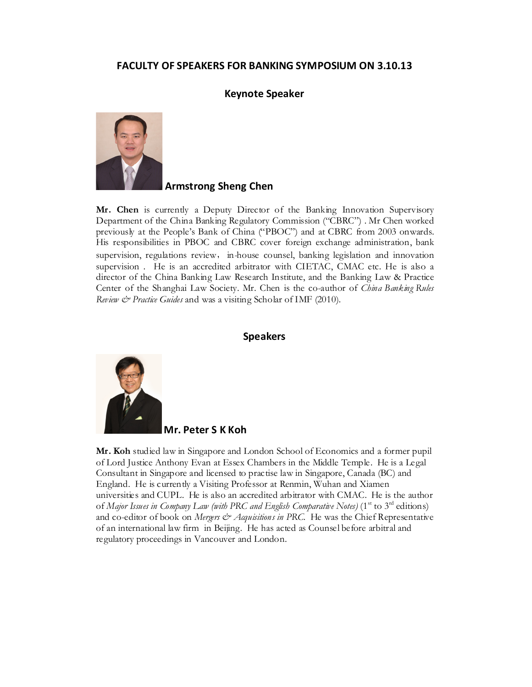## FACULTY OF SPEAKERS FOR BANKING SYMPOSIUM ON 3.10.13

## Keynote Speaker



Armstrong Sheng Chen

Mr. Chen is currently a Deputy Director of the Banking Innovation Supervisory Department of the China Banking Regulatory Commission ("CBRC") . Mr Chen worked previously at the People's Bank of China ("PBOC") and at CBRC from 2003 onwards. His responsibilities in PBOC and CBRC cover foreign exchange administration, bank supervision, regulations review, in-house counsel, banking legislation and innovation supervision . He is an accredited arbitrator with CIETAC, CMAC etc. He is also a director of the China Banking Law Research Institute, and the Banking Law & Practice Center of the Shanghai Law Society. Mr. Chen is the co-author of *China Banking Rules* Review & Practice Guides and was a visiting Scholar of IMF (2010).

## Speakers



Mr. Peter S K Koh

Mr. Koh studied law in Singapore and London School of Economics and a former pupil of Lord Justice Anthony Evan at Essex Chambers in the Middle Temple. He is a Legal Consultant in Singapore and licensed to practise law in Singapore, Canada (BC) and England. He is currently a Visiting Professor at Renmin, Wuhan and Xiamen universities and CUPL. He is also an accredited arbitrator with CMAC. He is the author of Major Issues in Company Law (with PRC and English Comparative Notes) (1<sup>st</sup> to 3<sup>rd</sup> editions) and co-editor of book on Mergers  $\mathcal{O}$  Acquisitions in PRC. He was the Chief Representative of an international law firm in Beijing. He has acted as Counsel before arbitral and regulatory proceedings in Vancouver and London.